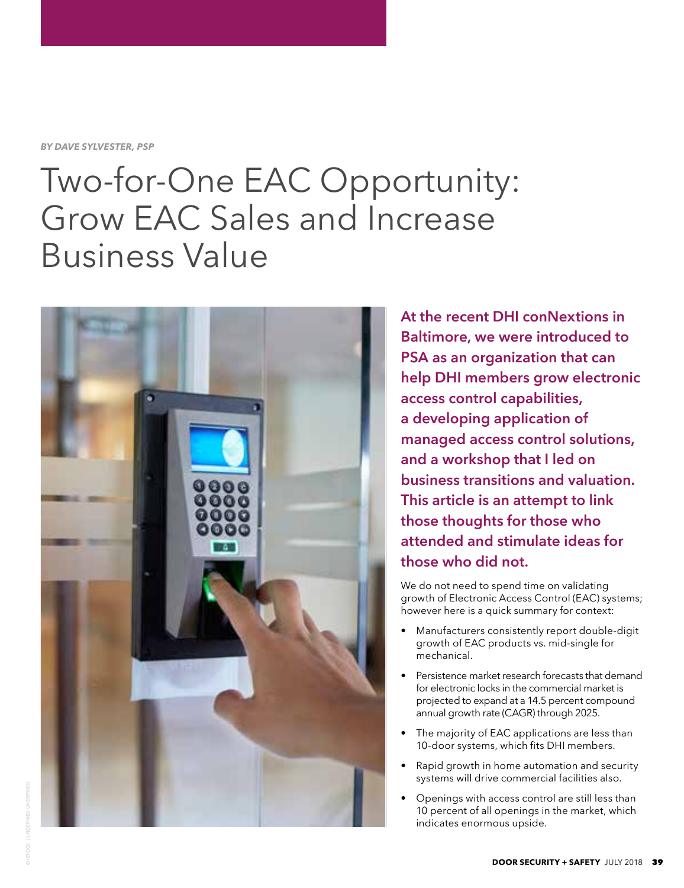*BY DAVE SYLVESTER, PSP*

## Two-for-One EAC Opportunity: Grow EAC Sales and Increase Business Value



**At the recent DHI conNextions in Baltimore, we were introduced to PSA as an organization that can help DHI members grow electronic access control capabilities, a developing application of managed access control solutions, and a workshop that I led on business transitions and valuation. This article is an attempt to link those thoughts for those who attended and stimulate ideas for those who did not.** 

We do not need to spend time on validating growth of Electronic Access Control (EAC) systems; however here is a quick summary for context:

- Manufacturers consistently report double-digit growth of EAC products vs. mid-single for mechanical.
- Persistence market research forecasts that demand for electronic locks in the commercial market is projected to expand at a 14.5 percent compound annual growth rate (CAGR) through 2025.
- The majority of EAC applications are less than 10-door systems, which fits DHI members.
- Rapid growth in home automation and security systems will drive commercial facilities also.
- Openings with access control are still less than 10 percent of all openings in the market, which indicates enormous upside.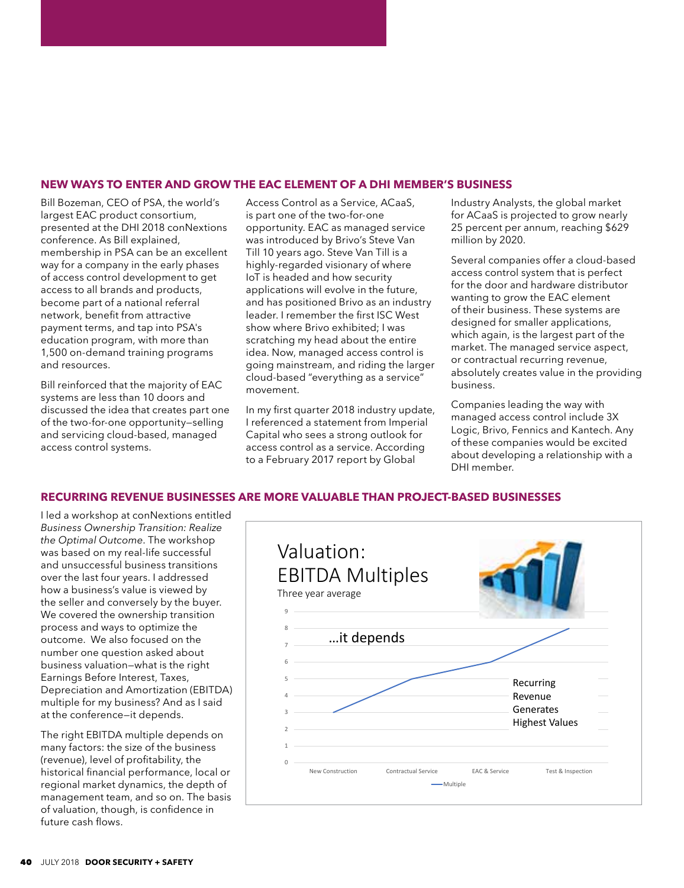## **NEW WAYS TO ENTER AND GROW THE EAC ELEMENT OF A DHI MEMBER'S BUSINESS**

Bill Bozeman, CEO of PSA, the world's largest EAC product consortium, presented at the DHI 2018 conNextions conference. As Bill explained, membership in PSA can be an excellent way for a company in the early phases of access control development to get access to all brands and products, become part of a national referral network, benefit from attractive payment terms, and tap into PSA's education program, with more than 1,500 on-demand training programs and resources.

Bill reinforced that the majority of EAC systems are less than 10 doors and discussed the idea that creates part one of the two-for-one opportunity—selling and servicing cloud-based, managed access control systems.

Access Control as a Service, ACaaS, is part one of the two-for-one opportunity. EAC as managed service was introduced by Brivo's Steve Van Till 10 years ago. Steve Van Till is a highly-regarded visionary of where IoT is headed and how security applications will evolve in the future, and has positioned Brivo as an industry leader. I remember the first ISC West show where Brivo exhibited; I was scratching my head about the entire idea. Now, managed access control is going mainstream, and riding the larger cloud-based "everything as a service" movement.

In my first quarter 2018 industry update, I referenced a statement from Imperial Capital who sees a strong outlook for access control as a service. According to a February 2017 report by Global

Industry Analysts, the global market for ACaaS is projected to grow nearly 25 percent per annum, reaching \$629 million by 2020.

Several companies offer a cloud-based access control system that is perfect for the door and hardware distributor wanting to grow the EAC element of their business. These systems are designed for smaller applications, which again, is the largest part of the market. The managed service aspect, or contractual recurring revenue, absolutely creates value in the providing business.

Companies leading the way with managed access control include 3X Logic, Brivo, Fennics and Kantech. Any of these companies would be excited about developing a relationship with a DHI member.

## **RECURRING REVENUE BUSINESSES ARE MORE VALUABLE THAN PROJECT-BASED BUSINESSES**

I led a workshop at conNextions entitled *Business Ownership Transition: Realize the Optimal Outcome*. The workshop was based on my real-life successful and unsuccessful business transitions over the last four years. I addressed how a business's value is viewed by the seller and conversely by the buyer. We covered the ownership transition process and ways to optimize the outcome. We also focused on the number one question asked about business valuation—what is the right Earnings Before Interest, Taxes, Depreciation and Amortization (EBITDA) multiple for my business? And as I said at the conference—it depends.

The right EBITDA multiple depends on many factors: the size of the business (revenue), level of profitability, the historical financial performance, local or regional market dynamics, the depth of management team, and so on. The basis of valuation, though, is confidence in future cash flows.